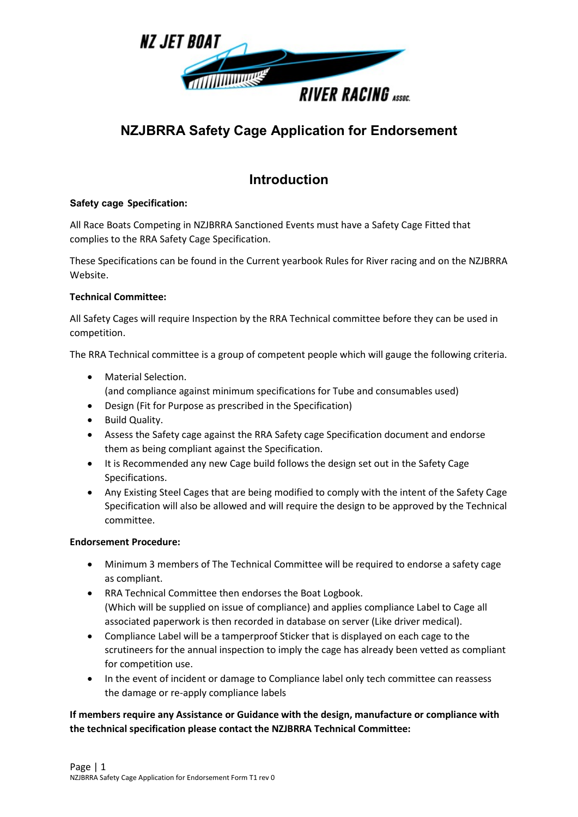

## **NZJBRRA Safety Cage Application for Endorsement**

## **Introduction**

#### **Safety cage Specification:**

All Race Boats Competing in NZJBRRA Sanctioned Events must have a Safety Cage Fitted that complies to the RRA Safety Cage Specification.

These Specifications can be found in the Current yearbook Rules for River racing and on the NZJBRRA Website.

#### **Technical Committee:**

All Safety Cages will require Inspection by the RRA Technical committee before they can be used in competition.

The RRA Technical committee is a group of competent people which will gauge the following criteria.

- Material Selection.
	- (and compliance against minimum specifications for Tube and consumables used)
- Design (Fit for Purpose as prescribed in the Specification)
- Build Quality.
- Assess the Safety cage against the RRA Safety cage Specification document and endorse them as being compliant against the Specification.
- It is Recommended any new Cage build follows the design set out in the Safety Cage Specifications.
- Any Existing Steel Cages that are being modified to comply with the intent of the Safety Cage Specification will also be allowed and will require the design to be approved by the Technical committee.

#### **Endorsement Procedure:**

- Minimum 3 members of The Technical Committee will be required to endorse a safety cage as compliant.
- RRA Technical Committee then endorses the Boat Logbook. (Which will be supplied on issue of compliance) and applies compliance Label to Cage all associated paperwork is then recorded in database on server (Like driver medical).
- Compliance Label will be a tamperproof Sticker that is displayed on each cage to the scrutineers for the annual inspection to imply the cage has already been vetted as compliant for competition use.
- In the event of incident or damage to Compliance label only tech committee can reassess the damage or re-apply compliance labels

#### **If members require any Assistance or Guidance with the design, manufacture or compliance with the technical specification please contact the NZJBRRA Technical Committee:**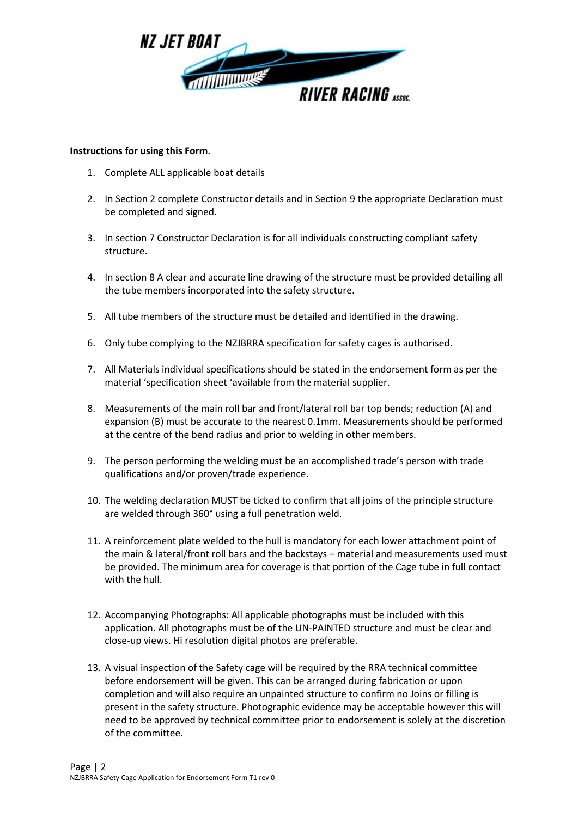

#### **Instructions for using this Form.**

- 1. Complete ALL applicable boat details
- 2. In Section 2 complete Constructor details and in Section 9 the appropriate Declaration must be completed and signed.
- 3. In section 7 Constructor Declaration is for all individuals constructing compliant safety structure.
- 4. In section 8 A clear and accurate line drawing of the structure must be provided detailing all the tube members incorporated into the safety structure.
- 5. All tube members of the structure must be detailed and identified in the drawing.
- 6. Only tube complying to the NZJBRRA specification for safety cages is authorised.
- 7. All Materials individual specifications should be stated in the endorsement form as per the material 'specification sheet 'available from the material supplier.
- 8. Measurements of the main roll bar and front/lateral roll bar top bends; reduction (A) and expansion (B) must be accurate to the nearest 0.1mm. Measurements should be performed at the centre of the bend radius and prior to welding in other members.
- 9. The person performing the welding must be an accomplished trade's person with trade qualifications and/or proven/trade experience.
- 10. The welding declaration MUST be ticked to confirm that all joins of the principle structure are welded through 360° using a full penetration weld.
- 11. A reinforcement plate welded to the hull is mandatory for each lower attachment point of the main & lateral/front roll bars and the backstays – material and measurements used must be provided. The minimum area for coverage is that portion of the Cage tube in full contact with the hull.
- 12. Accompanying Photographs: All applicable photographs must be included with this application. All photographs must be of the UN-PAINTED structure and must be clear and close-up views. Hi resolution digital photos are preferable.
- 13. A visual inspection of the Safety cage will be required by the RRA technical committee before endorsement will be given. This can be arranged during fabrication or upon completion and will also require an unpainted structure to confirm no Joins or filling is present in the safety structure. Photographic evidence may be acceptable however this will need to be approved by technical committee prior to endorsement is solely at the discretion of the committee.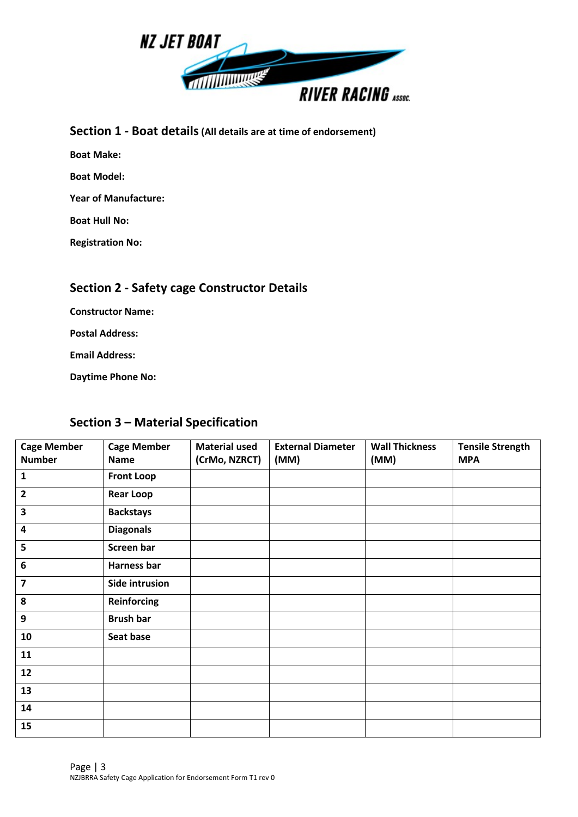

### **Section 1 - Boat details(All details are at time of endorsement)**

**Boat Make:**

**Boat Model:**

**Year of Manufacture:**

**Boat Hull No:**

**Registration No:**

### **Section 2 - Safety cage Constructor Details**

**Constructor Name:**

**Postal Address:**

**Email Address:**

**Daytime Phone No:**

## **Section 3 – Material Specification**

| <b>Cage Member</b><br><b>Number</b> | <b>Cage Member</b><br><b>Name</b> | <b>Material used</b><br>(CrMo, NZRCT) | <b>External Diameter</b><br>(MM) | <b>Wall Thickness</b><br>(MM) | <b>Tensile Strength</b><br><b>MPA</b> |
|-------------------------------------|-----------------------------------|---------------------------------------|----------------------------------|-------------------------------|---------------------------------------|
| 1                                   | <b>Front Loop</b>                 |                                       |                                  |                               |                                       |
| $\overline{2}$                      | <b>Rear Loop</b>                  |                                       |                                  |                               |                                       |
| 3                                   | <b>Backstays</b>                  |                                       |                                  |                               |                                       |
| $\overline{\mathbf{4}}$             | <b>Diagonals</b>                  |                                       |                                  |                               |                                       |
| 5                                   | Screen bar                        |                                       |                                  |                               |                                       |
| 6                                   | Harness bar                       |                                       |                                  |                               |                                       |
| $\overline{\mathbf{z}}$             | Side intrusion                    |                                       |                                  |                               |                                       |
| 8                                   | <b>Reinforcing</b>                |                                       |                                  |                               |                                       |
| 9                                   | <b>Brush bar</b>                  |                                       |                                  |                               |                                       |
| 10                                  | Seat base                         |                                       |                                  |                               |                                       |
| 11                                  |                                   |                                       |                                  |                               |                                       |
| 12                                  |                                   |                                       |                                  |                               |                                       |
| 13                                  |                                   |                                       |                                  |                               |                                       |
| 14                                  |                                   |                                       |                                  |                               |                                       |
| 15                                  |                                   |                                       |                                  |                               |                                       |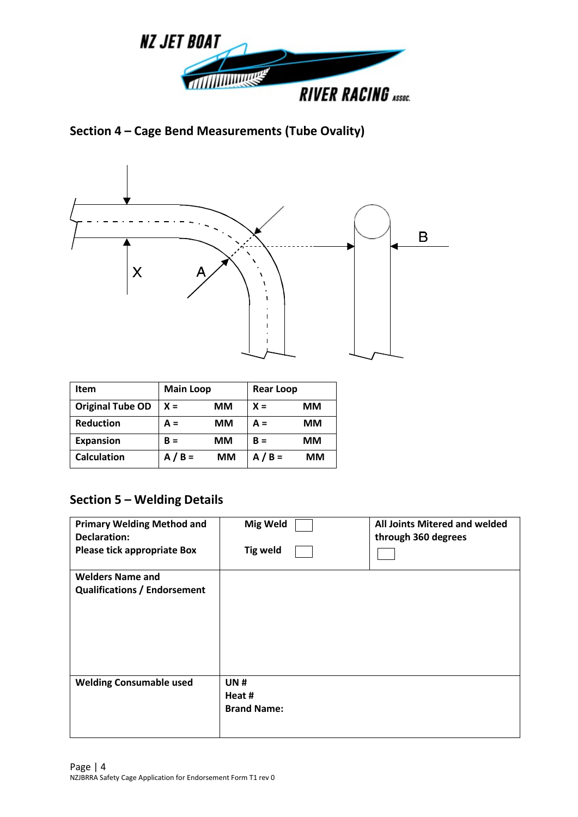

**Section 4 – Cage Bend Measurements (Tube Ovality)**



| Item                    | <b>Main Loop</b> |           | <b>Rear Loop</b> |           |
|-------------------------|------------------|-----------|------------------|-----------|
| <b>Original Tube OD</b> | $X =$            | MМ        | $X =$            | <b>MM</b> |
| <b>Reduction</b>        | $A =$            | <b>MM</b> | $A =$            | MМ        |
| <b>Expansion</b>        | $B =$            | MМ        | $B =$            | MМ        |
| <b>Calculation</b>      | $A/B =$          | MМ        | $A/B =$          | MМ        |

## **Section 5 – Welding Details**

| <b>Primary Welding Method and</b><br>Declaration:              | <b>Mig Weld</b>                            | All Joints Mitered and welded<br>through 360 degrees |
|----------------------------------------------------------------|--------------------------------------------|------------------------------------------------------|
| Please tick appropriate Box                                    | <b>Tig weld</b>                            |                                                      |
| <b>Welders Name and</b><br><b>Qualifications / Endorsement</b> |                                            |                                                      |
| <b>Welding Consumable used</b>                                 | <b>UN#</b><br>Heat #<br><b>Brand Name:</b> |                                                      |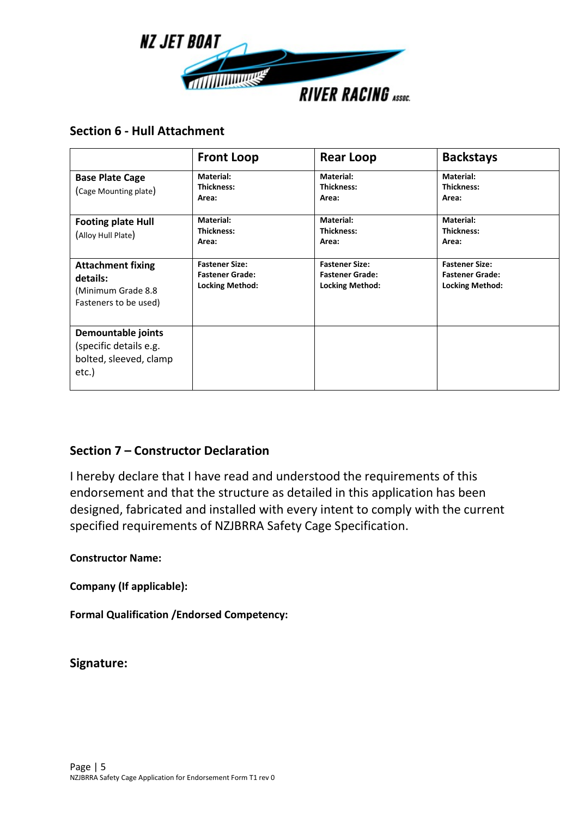

### **Section 6 - Hull Attachment**

|                                                                                      | <b>Front Loop</b>                                                         | <b>Rear Loop</b>                                                          | <b>Backstays</b>                                                          |
|--------------------------------------------------------------------------------------|---------------------------------------------------------------------------|---------------------------------------------------------------------------|---------------------------------------------------------------------------|
| <b>Base Plate Cage</b><br>(Cage Mounting plate)                                      | Material:<br>Thickness:<br>Area:                                          | Material:<br>Thickness:<br>Area:                                          | Material:<br><b>Thickness:</b><br>Area:                                   |
| <b>Footing plate Hull</b><br>(Alloy Hull Plate)                                      | Material:<br>Thickness:<br>Area:                                          | Material:<br>Thickness:<br>Area:                                          | Material:<br><b>Thickness:</b><br>Area:                                   |
| <b>Attachment fixing</b><br>details:<br>(Minimum Grade 8.8)<br>Fasteners to be used) | <b>Fastener Size:</b><br><b>Fastener Grade:</b><br><b>Locking Method:</b> | <b>Fastener Size:</b><br><b>Fastener Grade:</b><br><b>Locking Method:</b> | <b>Fastener Size:</b><br><b>Fastener Grade:</b><br><b>Locking Method:</b> |
| Demountable joints<br>(specific details e.g.<br>bolted, sleeved, clamp<br>etc.)      |                                                                           |                                                                           |                                                                           |

## **Section 7 – Constructor Declaration**

I hereby declare that I have read and understood the requirements of this endorsement and that the structure as detailed in this application has been designed, fabricated and installed with every intent to comply with the current specified requirements of NZJBRRA Safety Cage Specification.

### **Constructor Name:**

**Company (If applicable):**

**Formal Qualification /Endorsed Competency:**

**Signature:**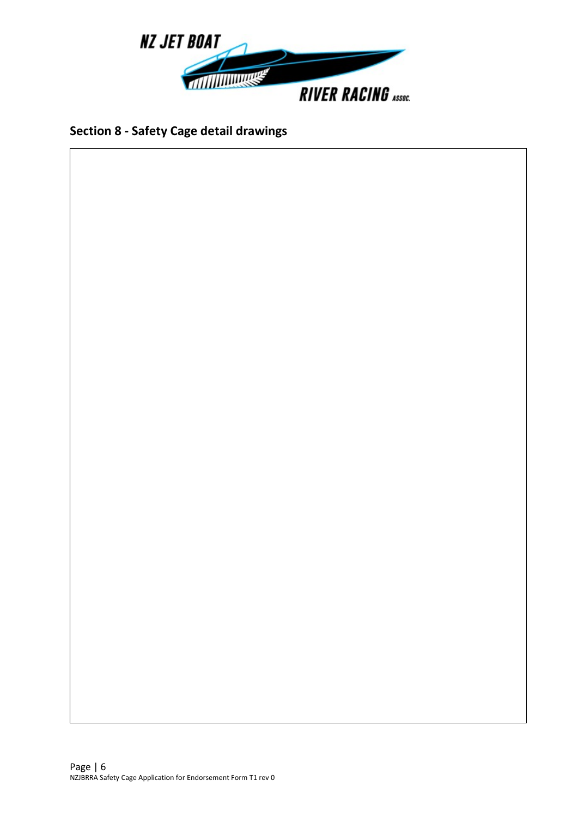

## **Section 8 - Safety Cage detail drawings**

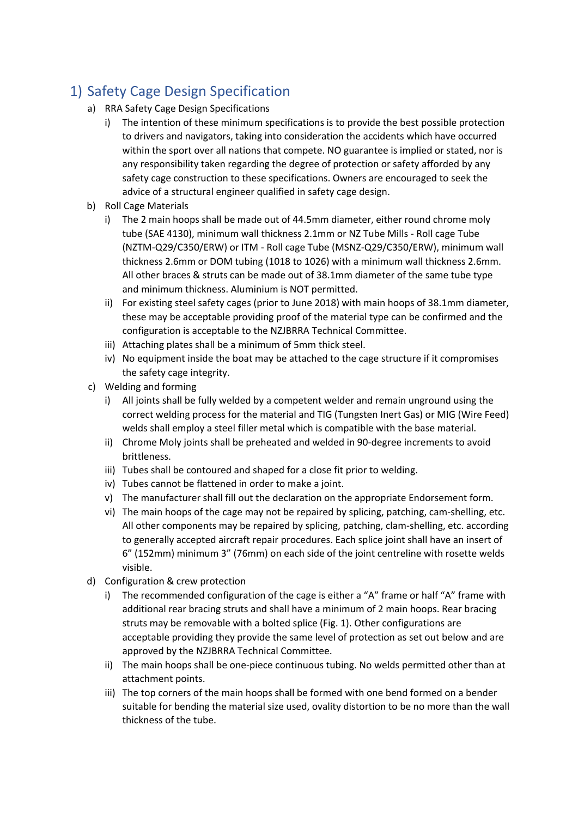# 1) Safety Cage Design Specification

- a) RRA Safety Cage Design Specifications
	- i) The intention of these minimum specifications is to provide the best possible protection to drivers and navigators, taking into consideration the accidents which have occurred within the sport over all nations that compete. NO guarantee is implied or stated, nor is any responsibility taken regarding the degree of protection or safety afforded by any safety cage construction to these specifications. Owners are encouraged to seek the advice of a structural engineer qualified in safety cage design.
- b) Roll Cage Materials
	- i) The 2 main hoops shall be made out of 44.5mm diameter, either round chrome moly tube (SAE 4130), minimum wall thickness 2.1mm or NZ Tube Mills - Roll cage Tube (NZTM-Q29/C350/ERW) or ITM - Roll cage Tube (MSNZ-Q29/C350/ERW), minimum wall thickness 2.6mm or DOM tubing (1018 to 1026) with a minimum wall thickness 2.6mm. All other braces & struts can be made out of 38.1mm diameter of the same tube type and minimum thickness. Aluminium is NOT permitted.
	- ii) For existing steel safety cages (prior to June 2018) with main hoops of 38.1mm diameter, these may be acceptable providing proof of the material type can be confirmed and the configuration is acceptable to the NZJBRRA Technical Committee.
	- iii) Attaching plates shall be a minimum of 5mm thick steel.
	- iv) No equipment inside the boat may be attached to the cage structure if it compromises the safety cage integrity.
- c) Welding and forming
	- i) All joints shall be fully welded by a competent welder and remain unground using the correct welding process for the material and TIG (Tungsten Inert Gas) or MIG (Wire Feed) welds shall employ a steel filler metal which is compatible with the base material.
	- ii) Chrome Moly joints shall be preheated and welded in 90-degree increments to avoid brittleness.
	- iii) Tubes shall be contoured and shaped for a close fit prior to welding.
	- iv) Tubes cannot be flattened in order to make a joint.
	- v) The manufacturer shall fill out the declaration on the appropriate Endorsement form.
	- vi) The main hoops of the cage may not be repaired by splicing, patching, cam-shelling, etc. All other components may be repaired by splicing, patching, clam-shelling, etc. according to generally accepted aircraft repair procedures. Each splice joint shall have an insert of 6" (152mm) minimum 3" (76mm) on each side of the joint centreline with rosette welds visible.
- d) Configuration & crew protection
	- i) The recommended configuration of the cage is either a "A" frame or half "A" frame with additional rear bracing struts and shall have a minimum of 2 main hoops. Rear bracing struts may be removable with a bolted splice (Fig. 1). Other configurations are acceptable providing they provide the same level of protection as set out below and are approved by the NZJBRRA Technical Committee.
	- ii) The main hoops shall be one-piece continuous tubing. No welds permitted other than at attachment points.
	- iii) The top corners of the main hoops shall be formed with one bend formed on a bender suitable for bending the material size used, ovality distortion to be no more than the wall thickness of the tube.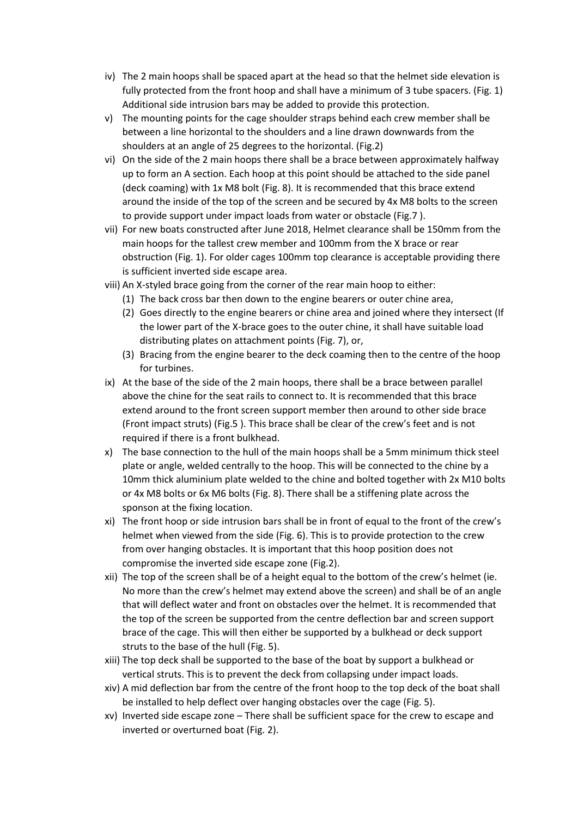- iv) The 2 main hoops shall be spaced apart at the head so that the helmet side elevation is fully protected from the front hoop and shall have a minimum of 3 tube spacers. (Fig. 1) Additional side intrusion bars may be added to provide this protection.
- v) The mounting points for the cage shoulder straps behind each crew member shall be between a line horizontal to the shoulders and a line drawn downwards from the shoulders at an angle of 25 degrees to the horizontal. (Fig.2)
- vi) On the side of the 2 main hoops there shall be a brace between approximately halfway up to form an A section. Each hoop at this point should be attached to the side panel (deck coaming) with 1x M8 bolt (Fig. 8). It is recommended that this brace extend around the inside of the top of the screen and be secured by 4x M8 bolts to the screen to provide support under impact loads from water or obstacle (Fig.7 ).
- vii) For new boats constructed after June 2018, Helmet clearance shall be 150mm from the main hoops for the tallest crew member and 100mm from the X brace or rear obstruction (Fig. 1). For older cages 100mm top clearance is acceptable providing there is sufficient inverted side escape area.
- viii) An X-styled brace going from the corner of the rear main hoop to either:
	- (1) The back cross bar then down to the engine bearers or outer chine area,
	- (2) Goes directly to the engine bearers or chine area and joined where they intersect (If the lower part of the X-brace goes to the outer chine, it shall have suitable load distributing plates on attachment points (Fig. 7), or,
	- (3) Bracing from the engine bearer to the deck coaming then to the centre of the hoop for turbines.
- ix) At the base of the side of the 2 main hoops, there shall be a brace between parallel above the chine for the seat rails to connect to. It is recommended that this brace extend around to the front screen support member then around to other side brace (Front impact struts) (Fig.5 ). This brace shall be clear of the crew's feet and is not required if there is a front bulkhead.
- x) The base connection to the hull of the main hoops shall be a 5mm minimum thick steel plate or angle, welded centrally to the hoop. This will be connected to the chine by a 10mm thick aluminium plate welded to the chine and bolted together with 2x M10 bolts or 4x M8 bolts or 6x M6 bolts (Fig. 8). There shall be a stiffening plate across the sponson at the fixing location.
- xi) The front hoop or side intrusion bars shall be in front of equal to the front of the crew's helmet when viewed from the side (Fig. 6). This is to provide protection to the crew from over hanging obstacles. It is important that this hoop position does not compromise the inverted side escape zone (Fig.2).
- xii) The top of the screen shall be of a height equal to the bottom of the crew's helmet (ie. No more than the crew's helmet may extend above the screen) and shall be of an angle that will deflect water and front on obstacles over the helmet. It is recommended that the top of the screen be supported from the centre deflection bar and screen support brace of the cage. This will then either be supported by a bulkhead or deck support struts to the base of the hull (Fig. 5).
- xiii) The top deck shall be supported to the base of the boat by support a bulkhead or vertical struts. This is to prevent the deck from collapsing under impact loads.
- xiv) A mid deflection bar from the centre of the front hoop to the top deck of the boat shall be installed to help deflect over hanging obstacles over the cage (Fig. 5).
- xv) Inverted side escape zone There shall be sufficient space for the crew to escape and inverted or overturned boat (Fig. 2).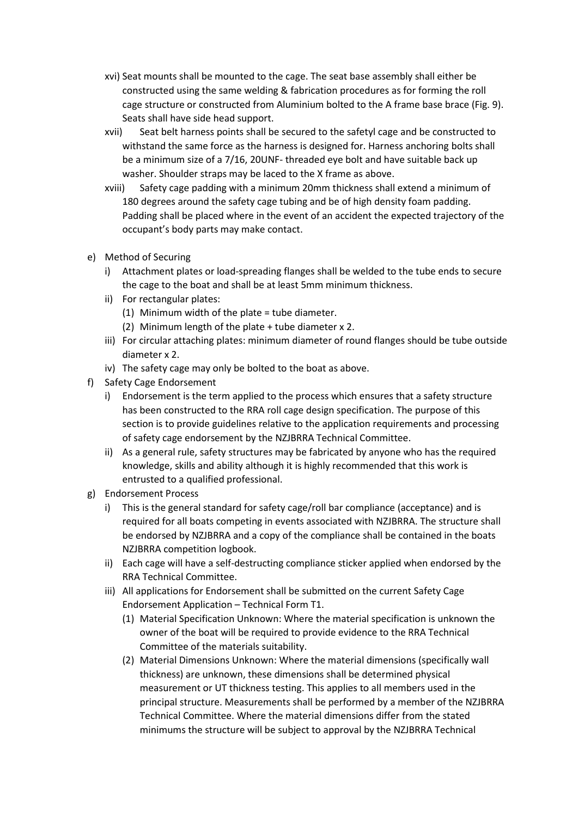- xvi) Seat mounts shall be mounted to the cage. The seat base assembly shall either be constructed using the same welding & fabrication procedures as for forming the roll cage structure or constructed from Aluminium bolted to the A frame base brace (Fig. 9). Seats shall have side head support.
- xvii) Seat belt harness points shall be secured to the safetyl cage and be constructed to withstand the same force as the harness is designed for. Harness anchoring bolts shall be a minimum size of a 7/16, 20UNF- threaded eye bolt and have suitable back up washer. Shoulder straps may be laced to the X frame as above.
- xviii) Safety cage padding with a minimum 20mm thickness shall extend a minimum of 180 degrees around the safety cage tubing and be of high density foam padding. Padding shall be placed where in the event of an accident the expected trajectory of the occupant's body parts may make contact.
- e) Method of Securing
	- i) Attachment plates or load-spreading flanges shall be welded to the tube ends to secure the cage to the boat and shall be at least 5mm minimum thickness.
	- ii) For rectangular plates:
		- (1) Minimum width of the plate = tube diameter.
		- (2) Minimum length of the plate + tube diameter x 2.
	- iii) For circular attaching plates: minimum diameter of round flanges should be tube outside diameter x 2.
	- iv) The safety cage may only be bolted to the boat as above.
- f) Safety Cage Endorsement
	- i) Endorsement is the term applied to the process which ensures that a safety structure has been constructed to the RRA roll cage design specification. The purpose of this section is to provide guidelines relative to the application requirements and processing of safety cage endorsement by the NZJBRRA Technical Committee.
	- ii) As a general rule, safety structures may be fabricated by anyone who has the required knowledge, skills and ability although it is highly recommended that this work is entrusted to a qualified professional.
- g) Endorsement Process
	- i) This is the general standard for safety cage/roll bar compliance (acceptance) and is required for all boats competing in events associated with NZJBRRA. The structure shall be endorsed by NZJBRRA and a copy of the compliance shall be contained in the boats NZJBRRA competition logbook.
	- ii) Each cage will have a self-destructing compliance sticker applied when endorsed by the RRA Technical Committee.
	- iii) All applications for Endorsement shall be submitted on the current Safety Cage Endorsement Application – Technical Form T1.
		- (1) Material Specification Unknown: Where the material specification is unknown the owner of the boat will be required to provide evidence to the RRA Technical Committee of the materials suitability.
		- (2) Material Dimensions Unknown: Where the material dimensions (specifically wall thickness) are unknown, these dimensions shall be determined physical measurement or UT thickness testing. This applies to all members used in the principal structure. Measurements shall be performed by a member of the NZJBRRA Technical Committee. Where the material dimensions differ from the stated minimums the structure will be subject to approval by the NZJBRRA Technical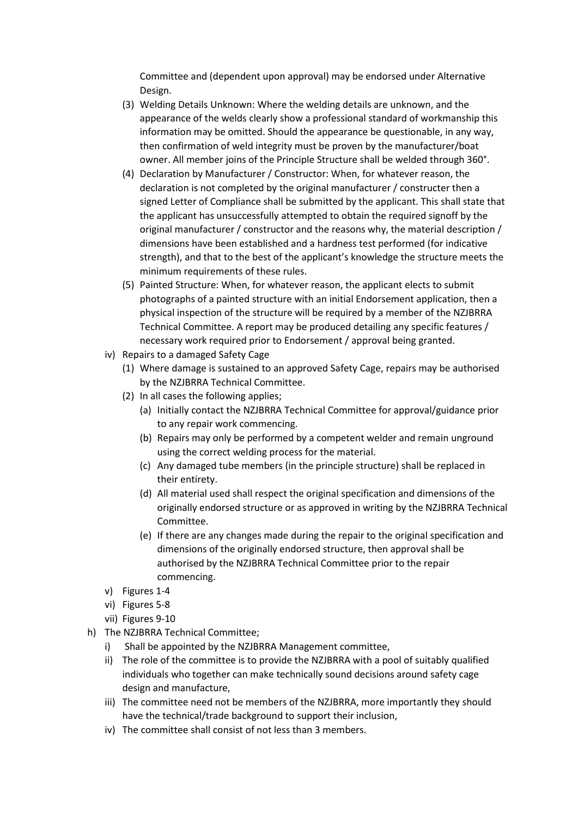Committee and (dependent upon approval) may be endorsed under Alternative Design.

- (3) Welding Details Unknown: Where the welding details are unknown, and the appearance of the welds clearly show a professional standard of workmanship this information may be omitted. Should the appearance be questionable, in any way, then confirmation of weld integrity must be proven by the manufacturer/boat owner. All member joins of the Principle Structure shall be welded through 360°.
- (4) Declaration by Manufacturer / Constructor: When, for whatever reason, the declaration is not completed by the original manufacturer / constructer then a signed Letter of Compliance shall be submitted by the applicant. This shall state that the applicant has unsuccessfully attempted to obtain the required signoff by the original manufacturer / constructor and the reasons why, the material description / dimensions have been established and a hardness test performed (for indicative strength), and that to the best of the applicant's knowledge the structure meets the minimum requirements of these rules.
- (5) Painted Structure: When, for whatever reason, the applicant elects to submit photographs of a painted structure with an initial Endorsement application, then a physical inspection of the structure will be required by a member of the NZJBRRA Technical Committee. A report may be produced detailing any specific features / necessary work required prior to Endorsement / approval being granted.
- iv) Repairs to a damaged Safety Cage
	- (1) Where damage is sustained to an approved Safety Cage, repairs may be authorised by the NZJBRRA Technical Committee.
	- (2) In all cases the following applies;
		- (a) Initially contact the NZJBRRA Technical Committee for approval/guidance prior to any repair work commencing.
		- (b) Repairs may only be performed by a competent welder and remain unground using the correct welding process for the material.
		- (c) Any damaged tube members (in the principle structure) shall be replaced in their entirety.
		- (d) All material used shall respect the original specification and dimensions of the originally endorsed structure or as approved in writing by the NZJBRRA Technical Committee.
		- (e) If there are any changes made during the repair to the original specification and dimensions of the originally endorsed structure, then approval shall be authorised by the NZJBRRA Technical Committee prior to the repair commencing.
- v) Figures 1-4
- vi) Figures 5-8
- vii) Figures 9-10
- h) The NZJBRRA Technical Committee;
	- i) Shall be appointed by the NZJBRRA Management committee,
	- ii) The role of the committee is to provide the NZJBRRA with a pool of suitably qualified individuals who together can make technically sound decisions around safety cage design and manufacture,
	- iii) The committee need not be members of the NZJBRRA, more importantly they should have the technical/trade background to support their inclusion,
	- iv) The committee shall consist of not less than 3 members.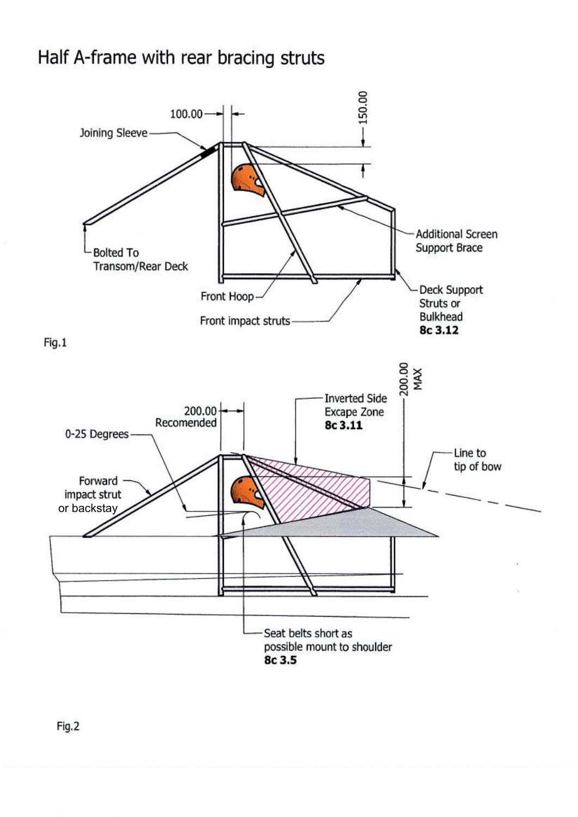# Half A-frame with rear bracing struts



Fig.2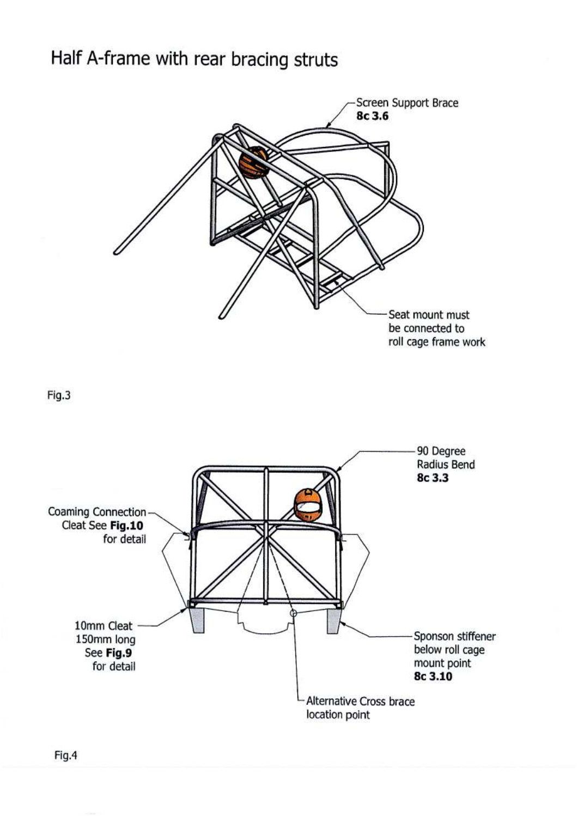# Half A-frame with rear bracing struts

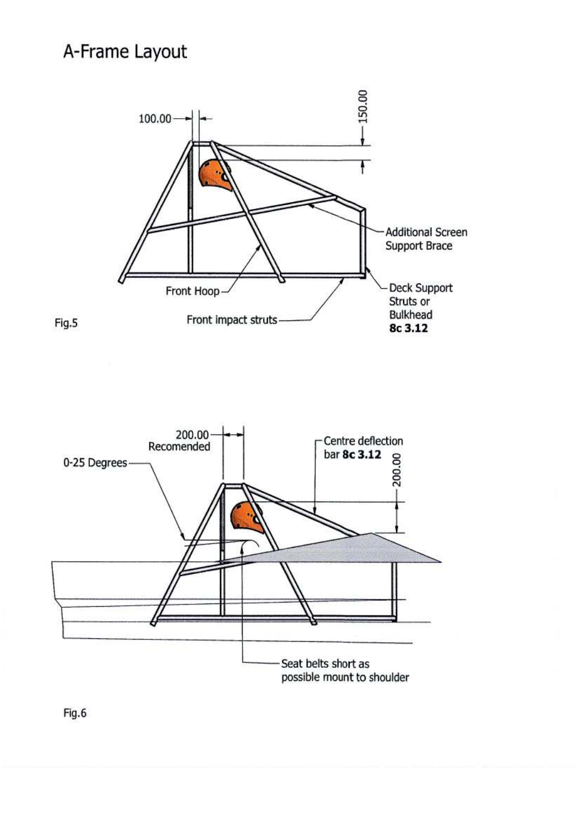# A-Frame Layout





Fig.6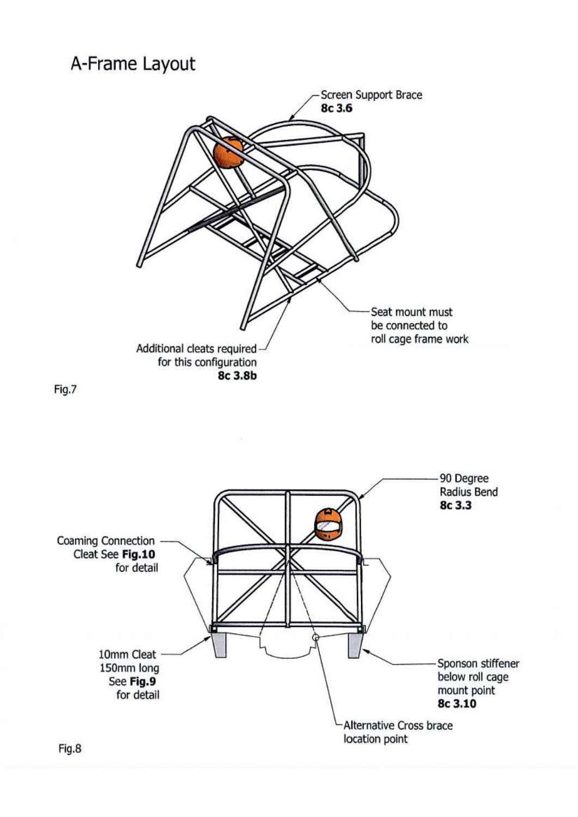A-Frame Layout



Fig.7